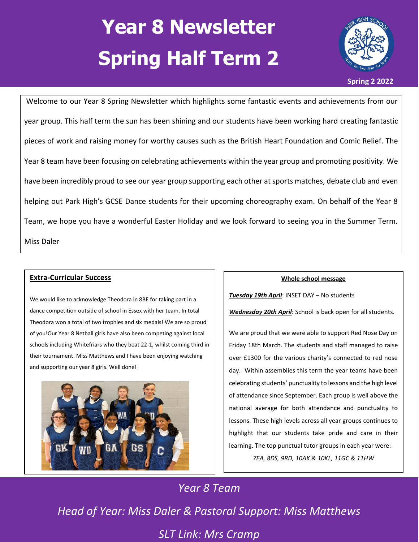# **Year 8 Newsletter Spring Half Term 2**



Welcome to our Year 8 Spring Newsletter which highlights some fantastic events and achievements from our year group. This half term the sun has been shining and our students have been working hard creating fantastic pieces of work and raising money for worthy causes such as the British Heart Foundation and Comic Relief. The Year 8 team have been focusing on celebrating achievements within the year group and promoting positivity. We have been incredibly proud to see our year group supporting each other at sports matches, debate club and even helping out Park High's GCSE Dance students for their upcoming choreography exam. On behalf of the Year 8 Team, we hope you have a wonderful Easter Holiday and we look forward to seeing you in the Summer Term. Miss Daler

#### **Extra-Curricular Success**

We would like to acknowledge Theodora in 8BE for taking part in a dance competition outside of school in Essex with her team. In total Theodora won a total of two trophies and six medals! We are so proud of you!Our Year 8 Netball girls have also been competing against local schools including Whitefriars who they beat 22-1, whilst coming third in their tournament. Miss Matthews and I have been enjoying watching and supporting our year 8 girls. Well done!



#### **Whole school message**

*Tuesday 19th April*: INSET DAY – No students

*Wednesday 20th April*: School is back open for all students.

We are proud that we were able to support Red Nose Day on Friday 18th March. The students and staff managed to raise over £1300 for the various charity's connected to red nose day. Within assemblies this term the year teams have been celebrating students' punctuality to lessons and the high level of attendance since September. Each group is well above the national average for both attendance and punctuality to lessons. These high levels across all year groups continues to highlight that our students take pride and care in their learning. The top punctual tutor groups in each year were: *7EA, 8DS, 9RD, 10AK & 10KL, 11GC & 11HW*

*Year 8 Team*

*Head of Year: Miss Daler & Pastoral Support: Miss Matthews SLT Link: Mrs Cramp*